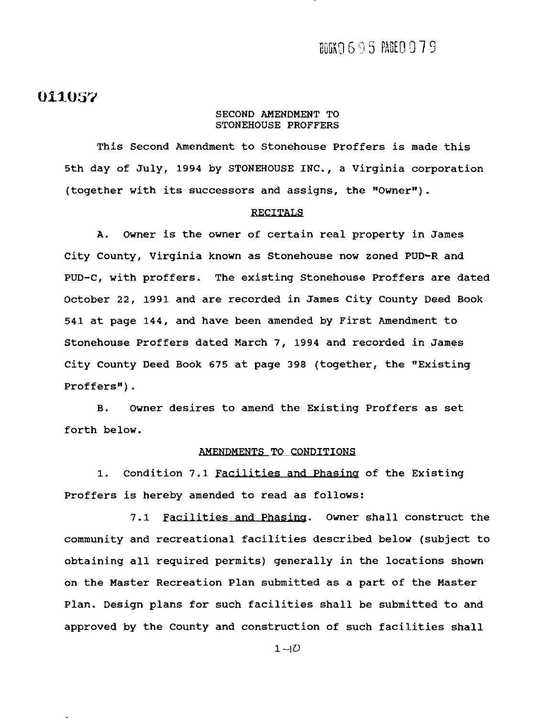#### 011057

#### SECOND AMENDMENT TO STONEHOUSE PROFFERS

This Second Amendment to Stonehouse Proffers is made this 5th day of July, 1994 by STONEHOUSE INC., a Virginia corporation (together with its successors and assigns, the "Owner").

#### RECITALS

A. Owner is the owner of certain real property in James City County, Virginia known as Stonehouse now zoned PUD-R and PUD-C, with proffers. The existing Stonehouse Proffers are dated October 22, 1991 and are recorded *in* James City County Deed Book 541 at page 144, and have been amended by First Amendment to Stonehouse Proffers dated March 7, 1994 and recorded *in* James City county Deed Book 675 at page 398 (together, the "Existing Proffers").

B. Owner desires to amend the Existing Proffers as set forth below.

#### AMENDMENTS TO CONDITIONS

1. Condition 7.1 Facilities and Phasing of the Existing Proffers is hereby amended to read as follows:

7.1 Facilities and Phasing. Owner shall construct the community and recreational facilities described below (subject to obtaining all required permits) generally in the locations shown on the Master Recreation Plan submitted as a part of the Master Plan. Design plans for such facilities shall be submitted to and approved by the county and construction of such facilities shall

 $1-\vert D \vert$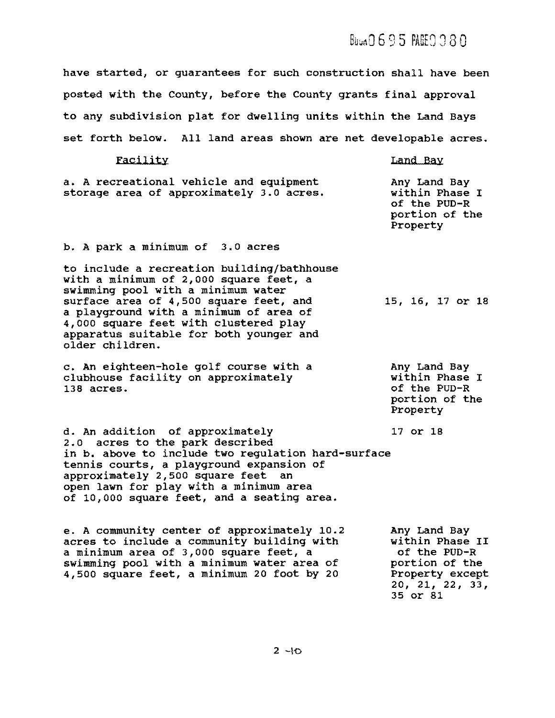# $B$ Uun0695 PAEE0080

have started, or guarantees for such construction shall have been posted with the County, before the County grants final approval to any subdivision plat for dwelling units within the Land Bays set forth below. All land areas shown are net developable acres.

| Facility                                                                                                                                                                                                                                                                                                              | Land Bay                                                                                                            |
|-----------------------------------------------------------------------------------------------------------------------------------------------------------------------------------------------------------------------------------------------------------------------------------------------------------------------|---------------------------------------------------------------------------------------------------------------------|
| a. A recreational vehicle and equipment<br>storage area of approximately 3.0 acres.                                                                                                                                                                                                                                   | Any Land Bay<br>within Phase I<br>of the PUD-R<br>portion of the<br>Property                                        |
| b. A park a minimum of 3.0 acres                                                                                                                                                                                                                                                                                      |                                                                                                                     |
| to include a recreation building/bathhouse<br>with a minimum of 2,000 square feet, a<br>swimming pool with a minimum water<br>surface area of 4,500 square feet, and<br>a playground with a minimum of area of<br>4,000 square feet with clustered play<br>apparatus suitable for both younger and<br>older children. | 15, 16, 17 or 18                                                                                                    |
| c. An eighteen-hole golf course with a<br>clubhouse facility on approximately<br>138 acres.                                                                                                                                                                                                                           | Any Land Bay<br>within Phase I<br>of the PUD-R<br>portion of the<br>Property                                        |
| d. An addition of approximately<br>2.0 acres to the park described<br>in b. above to include two regulation hard-surface<br>tennis courts, a playground expansion of<br>approximately 2,500 square feet an<br>open lawn for play with a minimum area<br>of 10,000 square feet, and a seating area.                    | 17 or 18                                                                                                            |
| e. A community center of approximately 10.2<br>acres to include a community building with<br>a minimum area of 3,000 square feet, a<br>swimming pool with a minimum water area of<br>4,500 square feet, a minimum 20 foot by 20                                                                                       | Any Land Bay<br>within Phase II<br>of the PUD-R<br>portion of the<br>Property except<br>20, 21, 22, 33,<br>35 or 81 |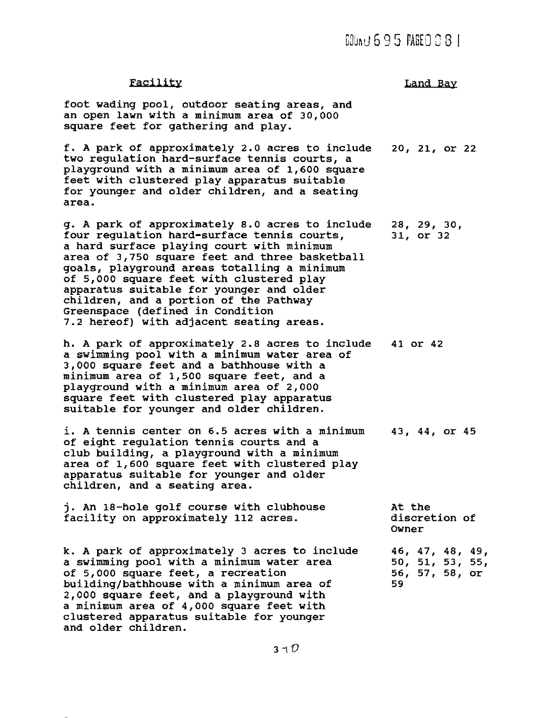### $000(1695$   $MSE0081$

#### **Facility**

Land Bay

foot wading pool, outdoor seating areas, and an open lawn with a minimum area of 30,000 square feet for gathering and play.

f. A park of approximately 2.0 acres to include two regulation hard-surface tennis courts, a playground with a minimum area of 1,600 square feet with clustered play apparatus suitable for younger and older children, and a seating area. 20, 21, or 22

g. A park of approximately 8.0 acres to include four regulation hard-surface tennis courts, a hard surface playing court with minimum area of 3,750 square feet and three basketball goals, playground areas totalling a minimum of 5,000 square feet with clustered play apparatus suitable for younger and older children, and a portion of the Pathway Greenspace (defined in Condition 7.2 hereof) with adjacent seating areas. 28, 29, 30, 31, or 32

h. A park of approximately 2.8 acres to include a swimming pool with a minimum water area of 3,000 square feet and a bathhouse with a minimum area of 1,500 square feet, and a playground with a minimum area of 2,000 square feet with clustered play apparatus suitable for younger and older children. 41 or 42

i. A tennis center on 6.5 acres with a minimum of eight regulation tennis courts and a club building, a playground with a minimum area of 1,600 square feet with clustered play apparatus suitable for younger and older children, and a seating area. 43, 44, or 45

j. An 18-hole golf course with clubhouse facility on approximately 112 acres. At the

k. A park of approximately 3 acres to include a swimming pool with a minimum water area of 5,000 square feet, a recreation building/bathhouse with a minimum area of 2,000 square feet, and a playground with a minimum area of 4,000 square feet with clustered apparatus suitable for younger and older children.

discretion of Owner

46, 47, 48, 49, 50, 51, 53, 55, 56, 57, 58, or 59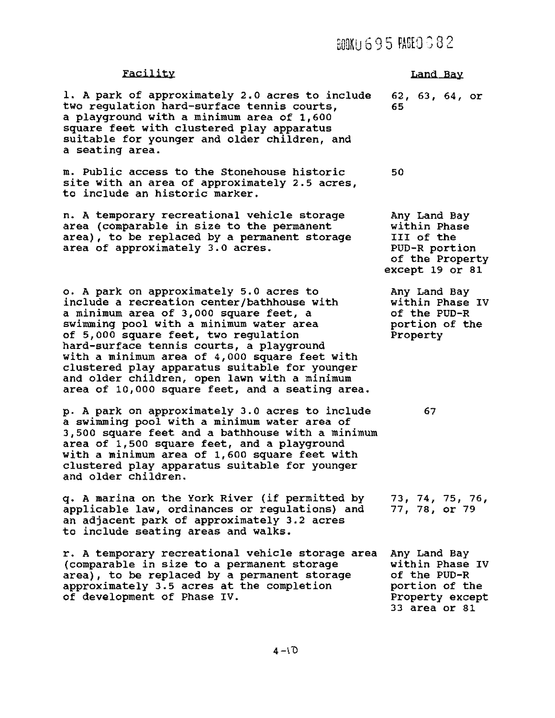### **BOOKU 6 9 5 PAGEO 3 8 2**

1. A park of approximately 2.0 acres to include 62, 63, 64, or two regulation hard-surface tennis courts, 65 a playground with a minimum area of 1,600 square feet with clustered play apparatus suitable for younger and older children, and a seating area.

m. Public access to the Stonehouse historic 50 site with an area of approximately 2.5 acres, to include an historic marker.

n. A temporary recreational vehicle storage area (comparable in size to the permanent area), to be replaced by a permanent storage area of approximately 3.0 acres.

o. A park on approximately 5.0 acres to include a recreation center/bathhouse with a minimum area of 3,000 square feet, a swimming pool with a minimum water area of 5,000 square feet, two regulation hard-surface tennis courts, a playground with a minimum area of 4,000 square feet with clustered play apparatus suitable for younger and older children, open lawn with a minimum area of 10,000 square feet, and a seating area.

p. A park on approximately 3.0 acres to include a swimming pool with a minimum water area of 3,500 square feet and a bathhouse with a minimum area of 1,500 square feet, and a playground with a minimum area of 1,600 square feet with clustered play apparatus suitable for younger and older children.

q. A marina on the York River (if permitted by applicable law, ordinances or regulations) and an adjacent park of approximately 3.2 acres to include seating areas and walks.

r. A temporary recreational vehicle storage area (comparable in size to a permanent storage area), to be replaced by a permanent storage approximately 3.5 acres at the completion of development of Phase IV.

# Facility **Land Bay**

Any Land Bay within Phase III of the PUD-R portion of the Property except 19 or 81

Any Land Bay within Phase IV of the PUD-R portion of the Property

67

73, 74, 75, 76, 77, 78, or 79

Any Land Bay within Phase IV of the PUD-R portion of the Property except 33 area or 81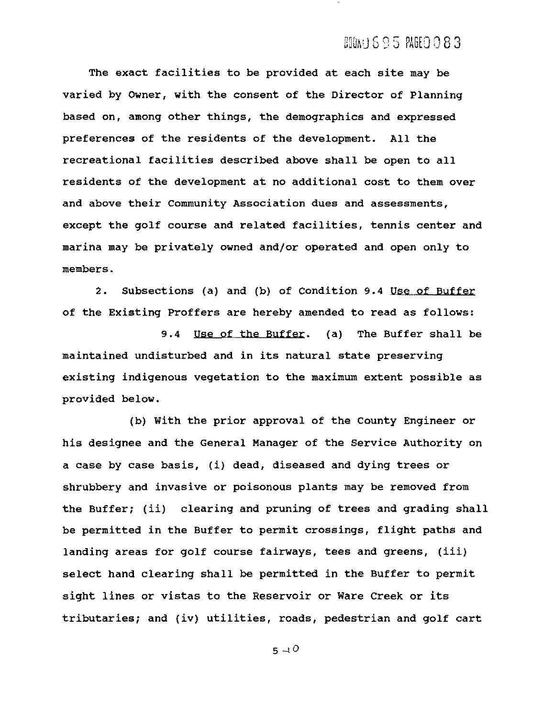#### BIONU 695 ROEO 083

The exact facilities to be provided at each site may be varied by Owner, with the consent of the Director of Planning based on, among other things, the demographics and expressed preferences of the residents of the development. All the recreational facilities described above shall be open to all residents of the development at no additional cost to them over and above their community Association dues and assessments, except the golf course and related facilities, tennis center and marina may be privately owned and/or operated and open only to members.

2. Subsections (a) and (b) of Condition 9.4 Use of Buffer of the Existing Proffers are hereby amended to read as follows:

9.4 Use of the Buffer. (a) The Buffer shall be maintained undisturbed and in its natural state preserving existing indigenous vegetation to the maximum extent possible as provided below.

(b) with the prior approval of the County Engineer or his designee and the General Manager of the Service Authority on a case by case basis, (i) dead, diseased and dying trees or shrubbery and invasive or poisonous plants may be removed from the Buffer; (ii) clearing and pruning of trees and grading shall be permitted in the Buffer to permit crossings, flight paths and landing areas for golf course fairways, tees and greens, (iii) select hand clearing shall be permitted in the Buffer to permit sight lines or vistas to the Reservoir or Ware Creek or its tributaries; and (iv) utilities, roads, pedestrian and golf cart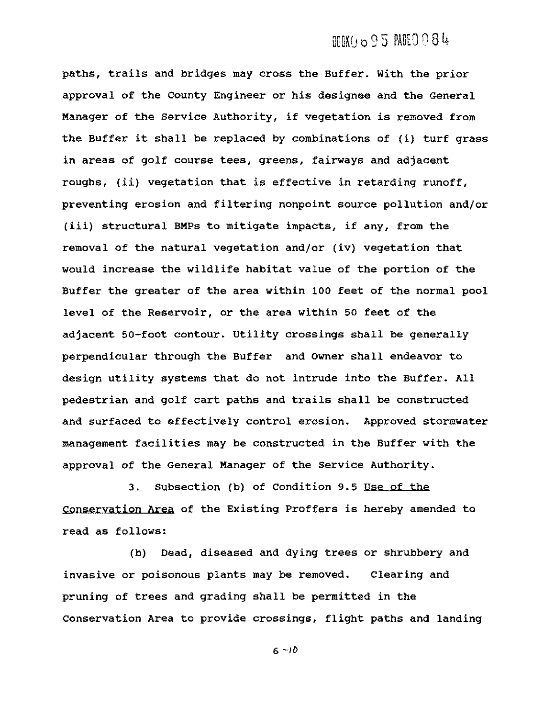# UUKU 095 PAGEO 084

paths, trails and bridges may cross the Buffer. With the prior approval of the County Engineer or his designee and the General Manager of the Service Authority, if vegetation is removed from the Buffer it shall be replaced by combinations of (i) turf grass in areas of golf course tees, greens, fairways and adjacent roughs, (ii) vegetation that is effective in retarding runoff, preventing erosion and filtering nonpoint source pollution and/or (iii) structural BMPs to mitigate impacts, if any, from the removal of the natural vegetation and/or (iv) vegetation that would increase the wildlife habitat value of the portion of the Buffer the greater of the area within 100 feet of the normal pool level of the Reservoir, or the area within 50 feet of the adjacent 50-foot contour. utility crossings shall be generally perpendicular through the Buffer and Owner shall endeavor to design utility systems that do not intrude into the Buffer. All pedestrian and golf cart paths and trails shall be constructed and surfaced to effectively control erosion. Approved stormwater management facilities may be constructed in the Buffer with the approval of the General Manager of the Service Authority.

3. Subsection (b) of Condition 9.5 Use of the Conservation Area of the Existing Proffers is hereby amended to read as follows:

(b) Dead, diseased and dying trees or shrubbery and invasive or poisonous plants may be removed. Clearing and pruning of trees and grading shall be permitted in the Conservation Area to provide crossings, flight paths and landing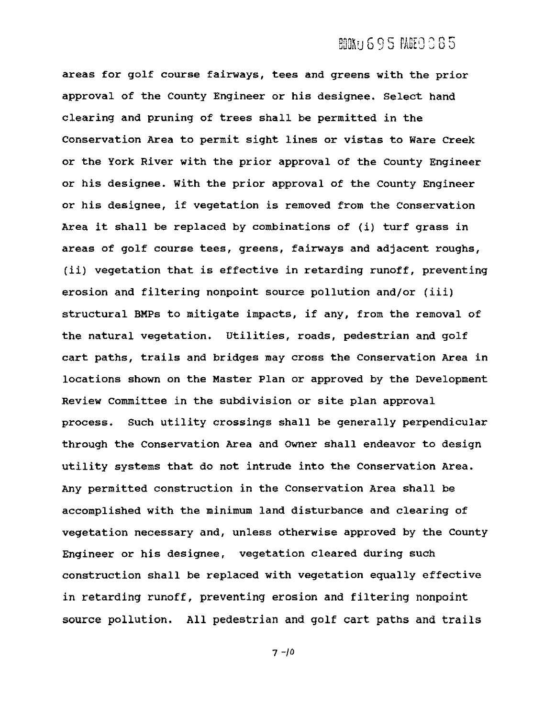#### **BOOKU 6 9 5 PAGEO 6 8 5**

areas for golf course fairways, tees and greens with the prior approval of the County Engineer or his designee. Select hand clearing and pruning of trees shall be permitted in the Conservation Area to permit sight lines or vistas to Ware Creek or the York River with the prior approval of the County Engineer or his designee. with the prior approval of the County Engineer or his designee, if vegetation is removed from the Conservation Area it shall be replaced by combinations of (i) turf grass in areas of golf course tees, greens, fairways and adjacent roughs, (ii) vegetation that is effective in retarding runoff, preventing erosion and filtering nonpoint source pollution and/or (iii) structural BMPs to mitigate impacts, if any, from the removal of the natural vegetation. utilities, roads, pedestrian and golf cart paths, trails and bridges may cross the Conservation Area in locations shown on the Master Plan or approved by the Development Review Committee in the subdivision or site plan approval process. such utility crossings shall be generally perpendicular through the Conservation Area and Owner shall endeavor to design utility systems that do not intrude into the Conservation Area. Any permitted construction in the Conservation Area shall be accomplished with the minimum land disturbance and clearing of vegetation necessary and, unless otherwise approved by the County Engineer or his designee, vegetation cleared during such construction shall be replaced with vegetation equally effective in retarding runoff, preventing erosion and filtering nonpoint source pollution. All pedestrian and golf cart paths and trails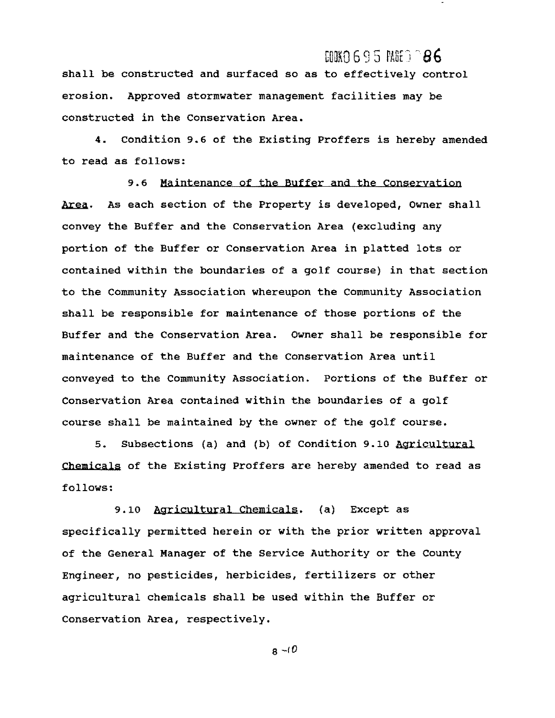#### $C00$ KO 6 9 5  $R0^{\circ}$   $\odot$  8 6

shall be constructed and surfaced so as to effectively control erosion. Approved stormwater management facilities may be constructed in the Conservation Area.

4. Condition 9.6 of the Existing Proffers is hereby amended to read as follows:

9.6 Maintenance of the Buffer and the Conservation Area. As each section of the Property is developed, Owner shall convey the Buffer and the Conservation Area (excluding any portion of the Buffer or Conservation Area in platted lots or contained within the boundaries of a golf course) in that section to the Community Association whereupon the community Association shall be responsible for maintenance of those portions of the Buffer and the Conservation Area. OWner shall be responsible for maintenance of the Buffer and the Conservation Area until conveyed to the Community Association. Portions of the Buffer or Conservation Area contained within the boundaries of a golf course shall be maintained by the owner of the golf course.

5. Subsections (a) and (b) of Condition 9.10 Agricultural Chemjcals of the Existing Proffers are hereby amended to read as follows:

9.10 Agricultural Chemicals. (a) Except as specifically permitted herein or with the prior written approval of the General Manager of the Service Authority or the County Engineer, no pesticides, herbicides, fertilizers or other agricultural chemicals shall be used within the Buffer or Conservation Area, respectively.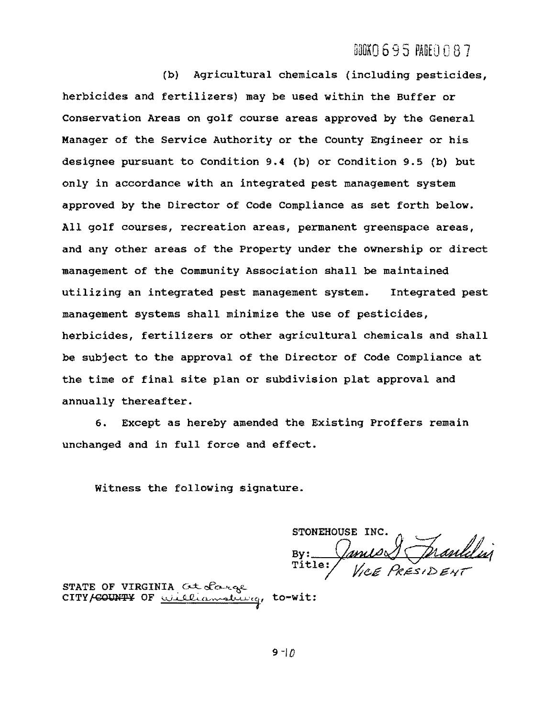#### $ABOKO 695 BIEO 087$

(b) Agricultural chemicals (including pesticides, herbicides and fertilizers) may be used within the Buffer or Conservation Areas on golf course areas approved by the General Manager of the Service Authority or the County Engineer or his designee pursuant to Condition 9.4 (b) or Condition 9.5 (b) but only in accordance with an integrated pest management system approved by the Director of Code Compliance as set forth below. All golf courses, recreation areas, permanent greenspace areas, and any other areas of the property under the ownership or direct management of the Community Association shall be maintained utilizing an integrated pest management system. Integrated pest management systems shall minimize the use of pesticides, herbicides, fertilizers or other agricultural chemicals and shall be subject to the approval of the Director of Code Compliance at the time of final site plan or subdivision plat approval and annually thereafter.

6. Except as hereby amended the Existing Proffers remain unchanged and in full force and effect.

Witness the following signature.

STONEHOUSE IN By: Janus Amanlelin

STATE OF VIRGINIA  $\alpha t$  chees CITY/COUNTY OF <u>williamsburg</u>, to-wit: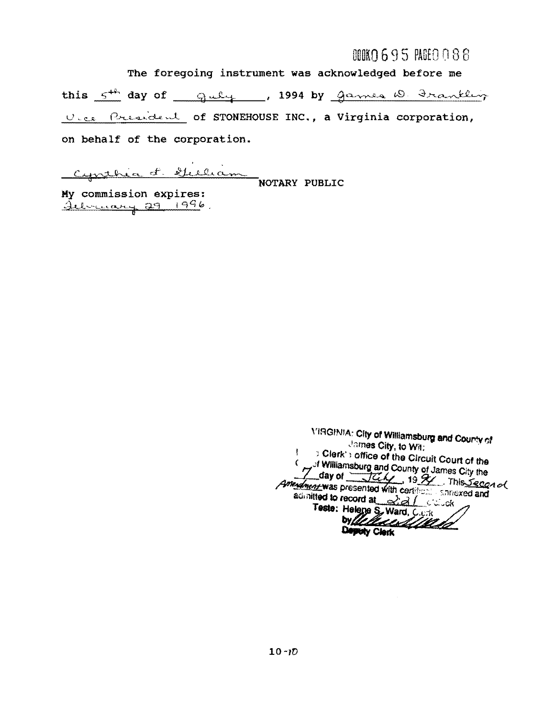# $00000695$   $R000088$

The foregoing instrument was acknowledged before me this  $5^{th}$  day of  $9u\ell +$ , 1994 by games  $0$ . Frankling U.c. President of STONEHOUSE INC., a Virginia corporation, on behalf of the corporation.

Cynthia f. Milliam

My commission expires: <u>Jebruary 29 1996</u>

**YIRGINIA: City of Williamsburg and County of** James City, to Wit: > Clerk's office of the Circuit Court of the ŧ American County of James City the admitted to record at 221 clock Teste: Helene S. Ward, C.C.K Wellend Deputy Clerk